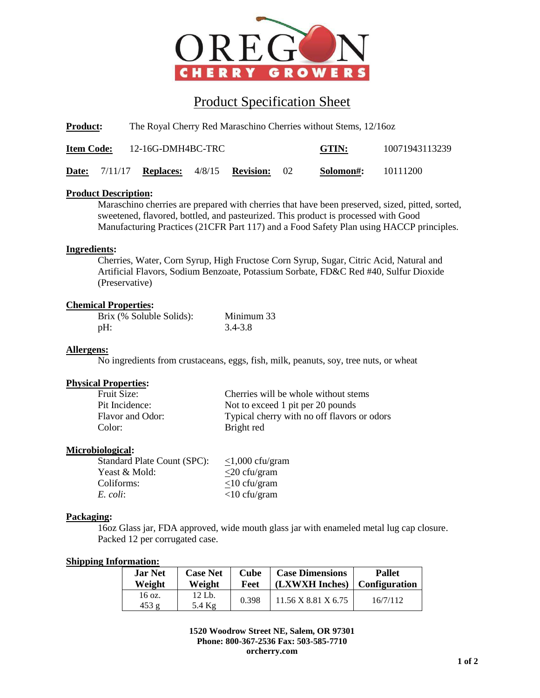

# Product Specification Sheet

**Product:** The Royal Cherry Red Maraschino Cherries without Stems, 12/16oz

| <b>Item Code:</b> | 12-16G-DMH4BC-TRC                      |  | GTIN:    | 10071943113239 |          |
|-------------------|----------------------------------------|--|----------|----------------|----------|
| Date:             | $7/11/17$ Replaces: $4/8/15$ Revision: |  | $\Omega$ | Solomon#:      | 10111200 |

# **Product Description:**

Maraschino cherries are prepared with cherries that have been preserved, sized, pitted, sorted, sweetened, flavored, bottled, and pasteurized. This product is processed with Good Manufacturing Practices (21CFR Part 117) and a Food Safety Plan using HACCP principles.

# **Ingredients:**

Cherries, Water, Corn Syrup, High Fructose Corn Syrup, Sugar, Citric Acid, Natural and Artificial Flavors, Sodium Benzoate, Potassium Sorbate, FD&C Red #40, Sulfur Dioxide (Preservative)

## **Chemical Properties:**

| Brix (% Soluble Solids): | Minimum 33 |
|--------------------------|------------|
| pH:                      | 3.4-3.8    |

## **Allergens:**

No ingredients from crustaceans, eggs, fish, milk, peanuts, soy, tree nuts, or wheat

# **Physical Properties:**

| <b>Fruit Size:</b> | Cherries will be whole without stems        |
|--------------------|---------------------------------------------|
| Pit Incidence:     | Not to exceed 1 pit per 20 pounds           |
| Flavor and Odor:   | Typical cherry with no off flavors or odors |
| Color:             | Bright red                                  |

#### **Microbiological:**

| Standard Plate Count (SPC): | $<1,000$ cfu/gram |
|-----------------------------|-------------------|
| Yeast & Mold:               | $<$ 20 cfu/gram   |
| Coliforms:                  | $<$ 10 cfu/gram   |
| E. coli:                    | $<$ 10 cfu/gram   |

#### **Packaging:**

16oz Glass jar, FDA approved, wide mouth glass jar with enameled metal lug cap closure. Packed 12 per corrugated case.

#### **Shipping Information:**

| <b>Jar Net</b> | <b>Case Net</b>    | Cube  | <b>Case Dimensions</b>                  | <b>Pallet</b> |
|----------------|--------------------|-------|-----------------------------------------|---------------|
| Weight         | Weight             | Feet  | (LXWXH Inches)   Configuration          |               |
| 16 oz.<br>453g | 12 Lb.<br>5.4 $Kg$ | 0.398 | $11.56 \text{ X } 8.81 \text{ X } 6.75$ | 16/7/112      |

**1520 Woodrow Street NE, Salem, OR 97301 Phone: 800-367-2536 Fax: 503-585-7710 orcherry.com**